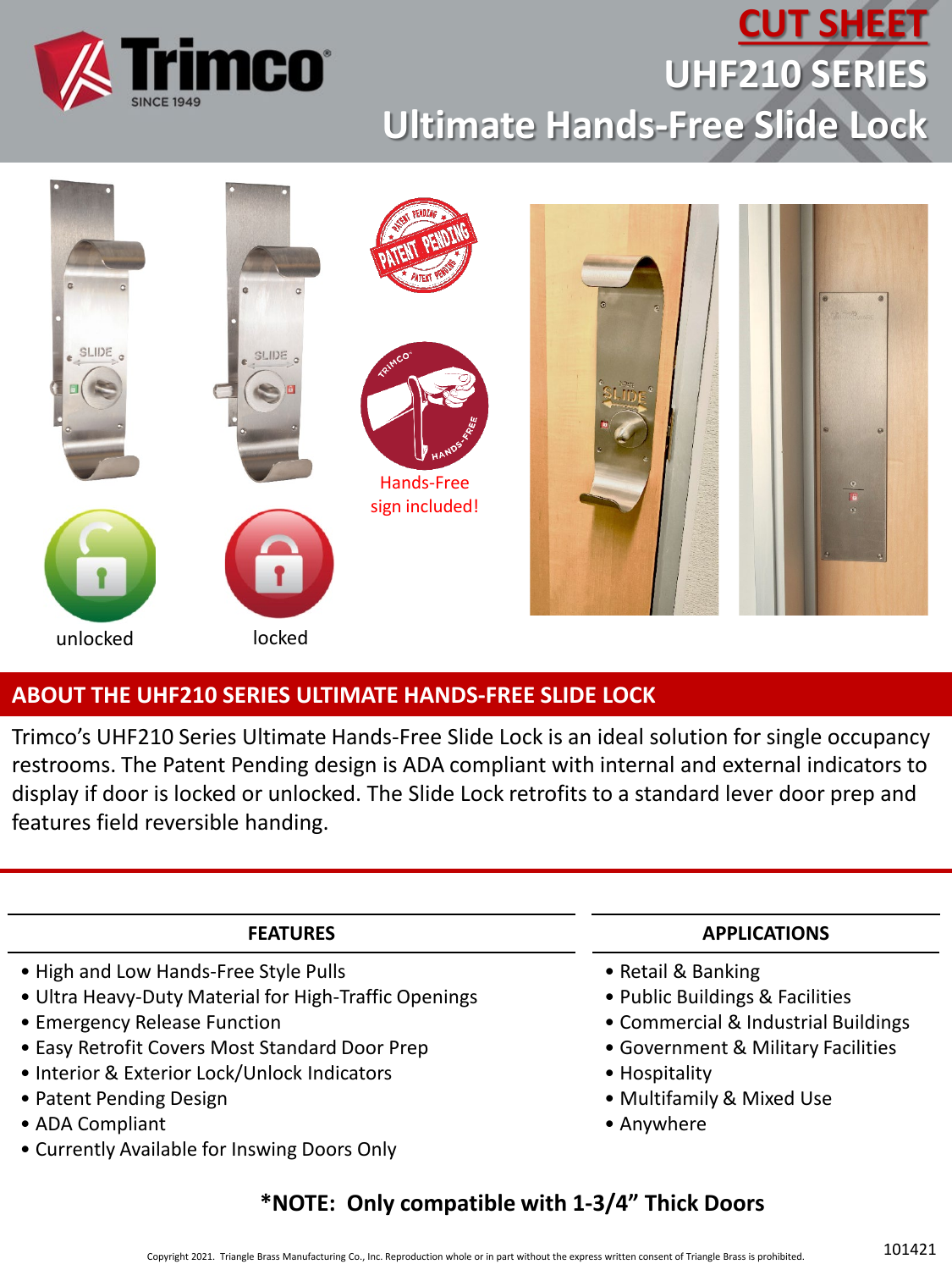

# **CUT SHEET UHF210 SERIES Ultimate Hands-Free Slide Lock**



#### **ABOUT THE UHF210 SERIES ULTIMATE HANDS-FREE SLIDE LOCK**

Trimco's UHF210 Series Ultimate Hands-Free Slide Lock is an ideal solution for single occupancy restrooms. The Patent Pending design is ADA compliant with internal and external indicators to display if door is locked or unlocked. The Slide Lock retrofits to a standard lever door prep and features field reversible handing.

#### **FEATURES**

- High and Low Hands-Free Style Pulls
- Ultra Heavy-Duty Material for High-Traffic Openings
- Emergency Release Function
- Easy Retrofit Covers Most Standard Door Prep
- Interior & Exterior Lock/Unlock Indicators
- Patent Pending Design
- ADA Compliant
- Currently Available for Inswing Doors Only

#### **APPLICATIONS**

- Retail & Banking
- Public Buildings & Facilities
- Commercial & Industrial Buildings
- Government & Military Facilities
- Hospitality
- Multifamily & Mixed Use
- Anywhere

#### **\*NOTE: Only compatible with 1-3/4" Thick Doors**